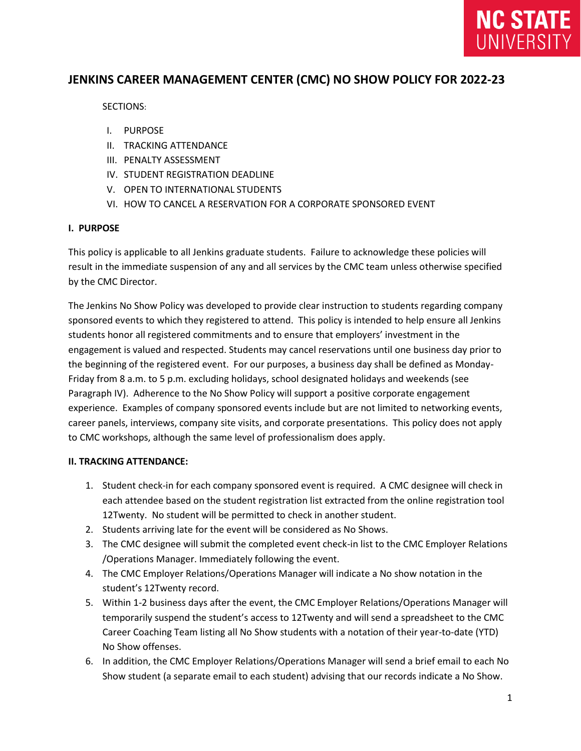

# **JENKINS CAREER MANAGEMENT CENTER (CMC) NO SHOW POLICY FOR 2022-23**

SECTIONS:

- I. PURPOSE
- II. TRACKING ATTENDANCE
- III. PENALTY ASSESSMENT
- IV. STUDENT REGISTRATION DEADLINE
- V. OPEN TO INTERNATIONAL STUDENTS
- VI. HOW TO CANCEL A RESERVATION FOR A CORPORATE SPONSORED EVENT

#### **I. PURPOSE**

This policy is applicable to all Jenkins graduate students. Failure to acknowledge these policies will result in the immediate suspension of any and all services by the CMC team unless otherwise specified by the CMC Director.

The Jenkins No Show Policy was developed to provide clear instruction to students regarding company sponsored events to which they registered to attend. This policy is intended to help ensure all Jenkins students honor all registered commitments and to ensure that employers' investment in the engagement is valued and respected. Students may cancel reservations until one business day prior to the beginning of the registered event. For our purposes, a business day shall be defined as Monday-Friday from 8 a.m. to 5 p.m. excluding holidays, school designated holidays and weekends (see Paragraph IV). Adherence to the No Show Policy will support a positive corporate engagement experience. Examples of company sponsored events include but are not limited to networking events, career panels, interviews, company site visits, and corporate presentations. This policy does not apply to CMC workshops, although the same level of professionalism does apply.

#### **II. TRACKING ATTENDANCE:**

- 1. Student check-in for each company sponsored event is required. A CMC designee will check in each attendee based on the student registration list extracted from the online registration tool 12Twenty. No student will be permitted to check in another student.
- 2. Students arriving late for the event will be considered as No Shows.
- 3. The CMC designee will submit the completed event check-in list to the CMC Employer Relations /Operations Manager. Immediately following the event.
- 4. The CMC Employer Relations/Operations Manager will indicate a No show notation in the student's 12Twenty record.
- 5. Within 1-2 business days after the event, the CMC Employer Relations/Operations Manager will temporarily suspend the student's access to 12Twenty and will send a spreadsheet to the CMC Career Coaching Team listing all No Show students with a notation of their year-to-date (YTD) No Show offenses.
- 6. In addition, the CMC Employer Relations/Operations Manager will send a brief email to each No Show student (a separate email to each student) advising that our records indicate a No Show.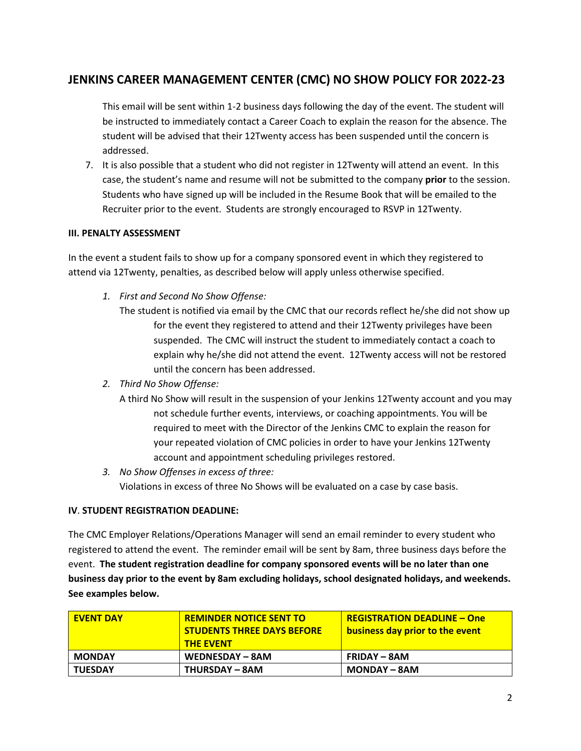# **JENKINS CAREER MANAGEMENT CENTER (CMC) NO SHOW POLICY FOR 2022-23**

This email will be sent within 1-2 business days following the day of the event. The student will be instructed to immediately contact a Career Coach to explain the reason for the absence. The student will be advised that their 12Twenty access has been suspended until the concern is addressed.

7. It is also possible that a student who did not register in 12Twenty will attend an event. In this case, the student's name and resume will not be submitted to the company **prior** to the session. Students who have signed up will be included in the Resume Book that will be emailed to the Recruiter prior to the event. Students are strongly encouraged to RSVP in 12Twenty.

### **III. PENALTY ASSESSMENT**

In the event a student fails to show up for a company sponsored event in which they registered to attend via 12Twenty, penalties, as described below will apply unless otherwise specified.

- *1. First and Second No Show Offense:* 
	- The student is notified via email by the CMC that our records reflect he/she did not show up for the event they registered to attend and their 12Twenty privileges have been suspended. The CMC will instruct the student to immediately contact a coach to explain why he/she did not attend the event. 12Twenty access will not be restored until the concern has been addressed.
- *2. Third No Show Offense:* 
	- A third No Show will result in the suspension of your Jenkins 12Twenty account and you may not schedule further events, interviews, or coaching appointments. You will be required to meet with the Director of the Jenkins CMC to explain the reason for your repeated violation of CMC policies in order to have your Jenkins 12Twenty account and appointment scheduling privileges restored.
- *3. No Show Offenses in excess of three:*  Violations in excess of three No Shows will be evaluated on a case by case basis.

## **IV**. **STUDENT REGISTRATION DEADLINE:**

The CMC Employer Relations/Operations Manager will send an email reminder to every student who registered to attend the event. The reminder email will be sent by 8am, three business days before the event. **The student registration deadline for company sponsored events will be no later than one business day prior to the event by 8am excluding holidays, school designated holidays, and weekends. See examples below.**

| <b>EVENT DAY</b> | <b>REMINDER NOTICE SENT TO</b><br><b>STUDENTS THREE DAYS BEFORE</b><br><b>THE EVENT</b> | <b>REGISTRATION DEADLINE - One</b><br>business day prior to the event |
|------------------|-----------------------------------------------------------------------------------------|-----------------------------------------------------------------------|
| <b>MONDAY</b>    | WEDNESDAY - 8AM                                                                         | <b>FRIDAY – 8AM</b>                                                   |
| <b>TUESDAY</b>   | <b>THURSDAY – 8AM</b>                                                                   | <b>MONDAY – 8AM</b>                                                   |